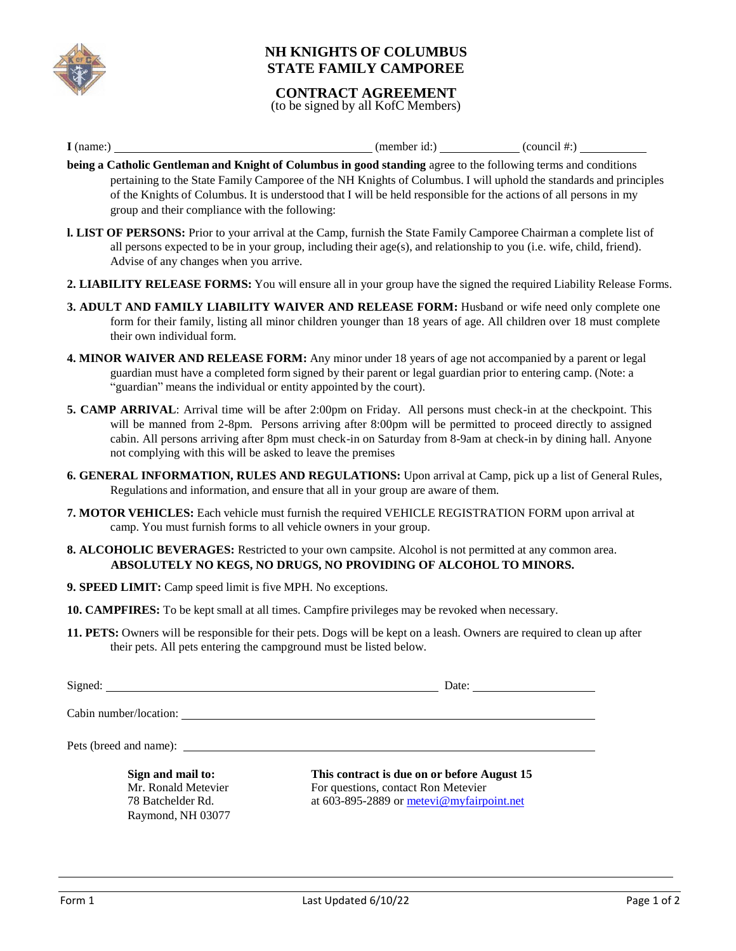

## **NH KNIGHTS OF COLUMBUS STATE FAMILY CAMPOREE**

#### **CONTRACT AGREEMENT**

(to be signed by all KofC Members)

 $I$  (name:)  $\qquad \qquad$  (member id:) (council #:) (council #:)

- **being a Catholic Gentleman and Knight of Columbus in good standing** agree to the following terms and conditions pertaining to the State Family Camporee of the NH Knights of Columbus. I will uphold the standards and principles of the Knights of Columbus. It is understood that I will be held responsible for the actions of all persons in my group and their compliance with the following:
- **l. LIST OF PERSONS:** Prior to your arrival at the Camp, furnish the State Family Camporee Chairman a complete list of all persons expected to be in your group, including their age(s), and relationship to you (i.e. wife, child, friend). Advise of any changes when you arrive.
- **2. LIABILITY RELEASE FORMS:** You will ensure all in your group have the signed the required Liability Release Forms.
- **3. ADULT AND FAMILY LIABILITY WAIVER AND RELEASE FORM:** Husband or wife need only complete one form for their family, listing all minor children younger than 18 years of age. All children over 18 must complete their own individual form.
- **4. MINOR WAIVER AND RELEASE FORM:** Any minor under 18 years of age not accompanied by a parent or legal guardian must have a completed form signed by their parent or legal guardian prior to entering camp. (Note: a "guardian" means the individual or entity appointed by the court).
- **5. CAMP ARRIVAL**: Arrival time will be after 2:00pm on Friday. All persons must check-in at the checkpoint. This will be manned from 2-8pm. Persons arriving after 8:00pm will be permitted to proceed directly to assigned cabin. All persons arriving after 8pm must check-in on Saturday from 8-9am at check-in by dining hall. Anyone not complying with this will be asked to leave the premises
- **6. GENERAL INFORMATION, RULES AND REGULATIONS:** Upon arrival at Camp, pick up a list of General Rules, Regulations and information, and ensure that all in your group are aware of them.
- **7. MOTOR VEHICLES:** Each vehicle must furnish the required VEHICLE REGISTRATION FORM upon arrival at camp. You must furnish forms to all vehicle owners in your group.
- **8. ALCOHOLIC BEVERAGES:** Restricted to your own campsite. Alcohol is not permitted at any common area. **ABSOLUTELY NO KEGS, NO DRUGS, NO PROVIDING OF ALCOHOL TO MINORS.**
- **9. SPEED LIMIT:** Camp speed limit is five MPH. No exceptions.
- **10. CAMPFIRES:** To be kept small at all times. Campfire privileges may be revoked when necessary.
- **11. PETS:** Owners will be responsible for their pets. Dogs will be kept on a leash. Owners are required to clean up after their pets. All pets entering the campground must be listed below.

Signed: Date: Date: Date: Date: Date: Date: Date: Date: Date: Date: Date: Date: Date: Date: Date: Date: Date: Date: Date: Date: Date: Date: Date: Date: Date: Date: Date: Date: Date: Date: Date: Date: Date: Date: Date: Date

Cabin number/location:

Pets (breed and name):

**Sign and mail to:** Mr. Ronald Metevier 78 Batchelder Rd. Raymond, NH 03077

**This contract is due on or before August 15** For questions, contact Ron Metevier at 603-895-2889 or metevi@myfairpoint.net